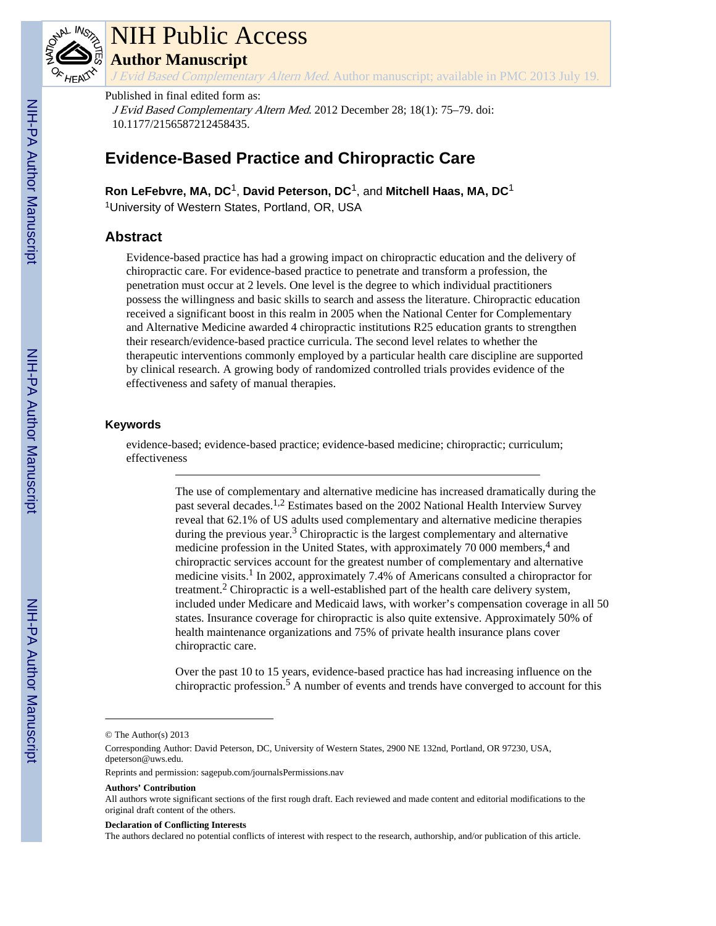

# NIH Public Access **Author Manuscript**

J Evid Based Complementary Altern Med. Author manuscript; available in PMC 2013 July 19.

## Published in final edited form as:

J Evid Based Complementary Altern Med. 2012 December 28; 18(1): 75–79. doi: 10.1177/2156587212458435.

## **Evidence-Based Practice and Chiropractic Care**

**Ron LeFebvre, MA, DC**1, **David Peterson, DC**1, and **Mitchell Haas, MA, DC**<sup>1</sup> <sup>1</sup>University of Western States, Portland, OR, USA

## **Abstract**

Evidence-based practice has had a growing impact on chiropractic education and the delivery of chiropractic care. For evidence-based practice to penetrate and transform a profession, the penetration must occur at 2 levels. One level is the degree to which individual practitioners possess the willingness and basic skills to search and assess the literature. Chiropractic education received a significant boost in this realm in 2005 when the National Center for Complementary and Alternative Medicine awarded 4 chiropractic institutions R25 education grants to strengthen their research/evidence-based practice curricula. The second level relates to whether the therapeutic interventions commonly employed by a particular health care discipline are supported by clinical research. A growing body of randomized controlled trials provides evidence of the effectiveness and safety of manual therapies.

## **Keywords**

evidence-based; evidence-based practice; evidence-based medicine; chiropractic; curriculum; effectiveness

> The use of complementary and alternative medicine has increased dramatically during the past several decades.1,2 Estimates based on the 2002 National Health Interview Survey reveal that 62.1% of US adults used complementary and alternative medicine therapies during the previous year.<sup>3</sup> Chiropractic is the largest complementary and alternative medicine profession in the United States, with approximately 70 000 members,<sup>4</sup> and chiropractic services account for the greatest number of complementary and alternative medicine visits.<sup>1</sup> In 2002, approximately 7.4% of Americans consulted a chiropractor for treatment.<sup>2</sup> Chiropractic is a well-established part of the health care delivery system, included under Medicare and Medicaid laws, with worker's compensation coverage in all 50 states. Insurance coverage for chiropractic is also quite extensive. Approximately 50% of health maintenance organizations and 75% of private health insurance plans cover chiropractic care.

Over the past 10 to 15 years, evidence-based practice has had increasing influence on the chiropractic profession.<sup>5</sup> A number of events and trends have converged to account for this

**Authors' Contribution**

#### **Declaration of Conflicting Interests**

The authors declared no potential conflicts of interest with respect to the research, authorship, and/or publication of this article.

<sup>©</sup> The Author(s) 2013

Corresponding Author: David Peterson, DC, University of Western States, 2900 NE 132nd, Portland, OR 97230, USA, dpeterson@uws.edu.

Reprints and permission: sagepub.com/journalsPermissions.nav

All authors wrote significant sections of the first rough draft. Each reviewed and made content and editorial modifications to the original draft content of the others.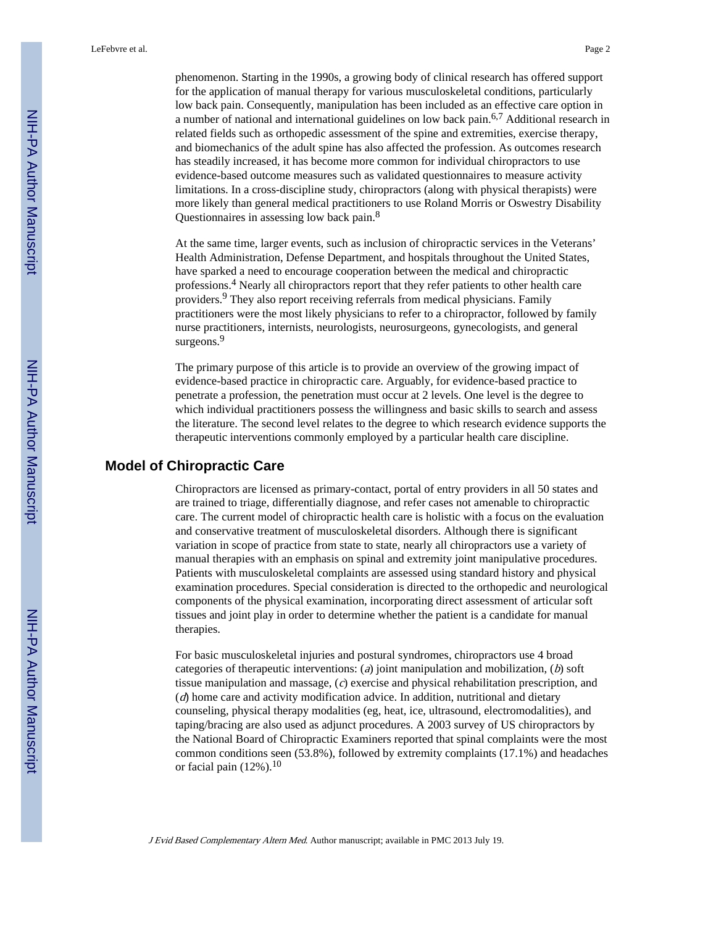phenomenon. Starting in the 1990s, a growing body of clinical research has offered support for the application of manual therapy for various musculoskeletal conditions, particularly low back pain. Consequently, manipulation has been included as an effective care option in a number of national and international guidelines on low back pain.6,7 Additional research in related fields such as orthopedic assessment of the spine and extremities, exercise therapy, and biomechanics of the adult spine has also affected the profession. As outcomes research has steadily increased, it has become more common for individual chiropractors to use evidence-based outcome measures such as validated questionnaires to measure activity limitations. In a cross-discipline study, chiropractors (along with physical therapists) were more likely than general medical practitioners to use Roland Morris or Oswestry Disability Questionnaires in assessing low back pain.<sup>8</sup>

At the same time, larger events, such as inclusion of chiropractic services in the Veterans' Health Administration, Defense Department, and hospitals throughout the United States, have sparked a need to encourage cooperation between the medical and chiropractic professions.<sup>4</sup> Nearly all chiropractors report that they refer patients to other health care providers.<sup>9</sup> They also report receiving referrals from medical physicians. Family practitioners were the most likely physicians to refer to a chiropractor, followed by family nurse practitioners, internists, neurologists, neurosurgeons, gynecologists, and general surgeons.<sup>9</sup>

The primary purpose of this article is to provide an overview of the growing impact of evidence-based practice in chiropractic care. Arguably, for evidence-based practice to penetrate a profession, the penetration must occur at 2 levels. One level is the degree to which individual practitioners possess the willingness and basic skills to search and assess the literature. The second level relates to the degree to which research evidence supports the therapeutic interventions commonly employed by a particular health care discipline.

## **Model of Chiropractic Care**

Chiropractors are licensed as primary-contact, portal of entry providers in all 50 states and are trained to triage, differentially diagnose, and refer cases not amenable to chiropractic care. The current model of chiropractic health care is holistic with a focus on the evaluation and conservative treatment of musculoskeletal disorders. Although there is significant variation in scope of practice from state to state, nearly all chiropractors use a variety of manual therapies with an emphasis on spinal and extremity joint manipulative procedures. Patients with musculoskeletal complaints are assessed using standard history and physical examination procedures. Special consideration is directed to the orthopedic and neurological components of the physical examination, incorporating direct assessment of articular soft tissues and joint play in order to determine whether the patient is a candidate for manual therapies.

For basic musculoskeletal injuries and postural syndromes, chiropractors use 4 broad categories of therapeutic interventions: (a) joint manipulation and mobilization,  $(b)$  soft tissue manipulation and massage,  $(c)$  exercise and physical rehabilitation prescription, and (d) home care and activity modification advice. In addition, nutritional and dietary counseling, physical therapy modalities (eg, heat, ice, ultrasound, electromodalities), and taping/bracing are also used as adjunct procedures. A 2003 survey of US chiropractors by the National Board of Chiropractic Examiners reported that spinal complaints were the most common conditions seen (53.8%), followed by extremity complaints (17.1%) and headaches or facial pain  $(12\%)$ .<sup>10</sup>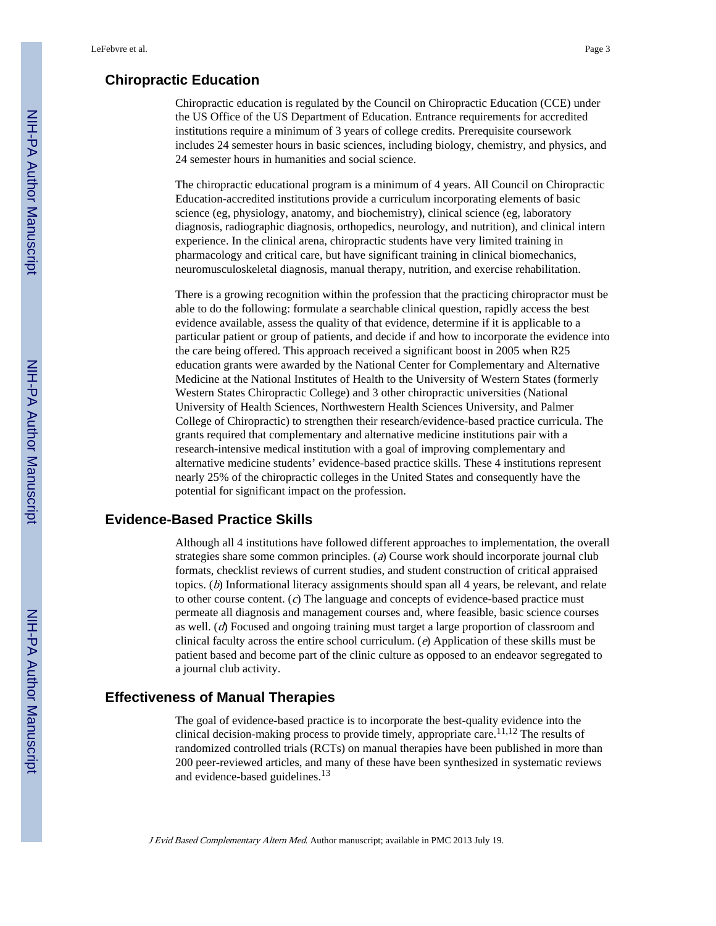## **Chiropractic Education**

Chiropractic education is regulated by the Council on Chiropractic Education (CCE) under the US Office of the US Department of Education. Entrance requirements for accredited institutions require a minimum of 3 years of college credits. Prerequisite coursework includes 24 semester hours in basic sciences, including biology, chemistry, and physics, and 24 semester hours in humanities and social science.

The chiropractic educational program is a minimum of 4 years. All Council on Chiropractic Education-accredited institutions provide a curriculum incorporating elements of basic science (eg, physiology, anatomy, and biochemistry), clinical science (eg, laboratory diagnosis, radiographic diagnosis, orthopedics, neurology, and nutrition), and clinical intern experience. In the clinical arena, chiropractic students have very limited training in pharmacology and critical care, but have significant training in clinical biomechanics, neuromusculoskeletal diagnosis, manual therapy, nutrition, and exercise rehabilitation.

There is a growing recognition within the profession that the practicing chiropractor must be able to do the following: formulate a searchable clinical question, rapidly access the best evidence available, assess the quality of that evidence, determine if it is applicable to a particular patient or group of patients, and decide if and how to incorporate the evidence into the care being offered. This approach received a significant boost in 2005 when R25 education grants were awarded by the National Center for Complementary and Alternative Medicine at the National Institutes of Health to the University of Western States (formerly Western States Chiropractic College) and 3 other chiropractic universities (National University of Health Sciences, Northwestern Health Sciences University, and Palmer College of Chiropractic) to strengthen their research/evidence-based practice curricula. The grants required that complementary and alternative medicine institutions pair with a research-intensive medical institution with a goal of improving complementary and alternative medicine students' evidence-based practice skills. These 4 institutions represent nearly 25% of the chiropractic colleges in the United States and consequently have the potential for significant impact on the profession.

## **Evidence-Based Practice Skills**

Although all 4 institutions have followed different approaches to implementation, the overall strategies share some common principles. (a) Course work should incorporate journal club formats, checklist reviews of current studies, and student construction of critical appraised topics. (b) Informational literacy assignments should span all 4 years, be relevant, and relate to other course content.  $(c)$  The language and concepts of evidence-based practice must permeate all diagnosis and management courses and, where feasible, basic science courses as well. (d) Focused and ongoing training must target a large proportion of classroom and clinical faculty across the entire school curriculum. (e) Application of these skills must be patient based and become part of the clinic culture as opposed to an endeavor segregated to a journal club activity.

## **Effectiveness of Manual Therapies**

The goal of evidence-based practice is to incorporate the best-quality evidence into the clinical decision-making process to provide timely, appropriate care.<sup>11,12</sup> The results of randomized controlled trials (RCTs) on manual therapies have been published in more than 200 peer-reviewed articles, and many of these have been synthesized in systematic reviews and evidence-based guidelines.<sup>13</sup>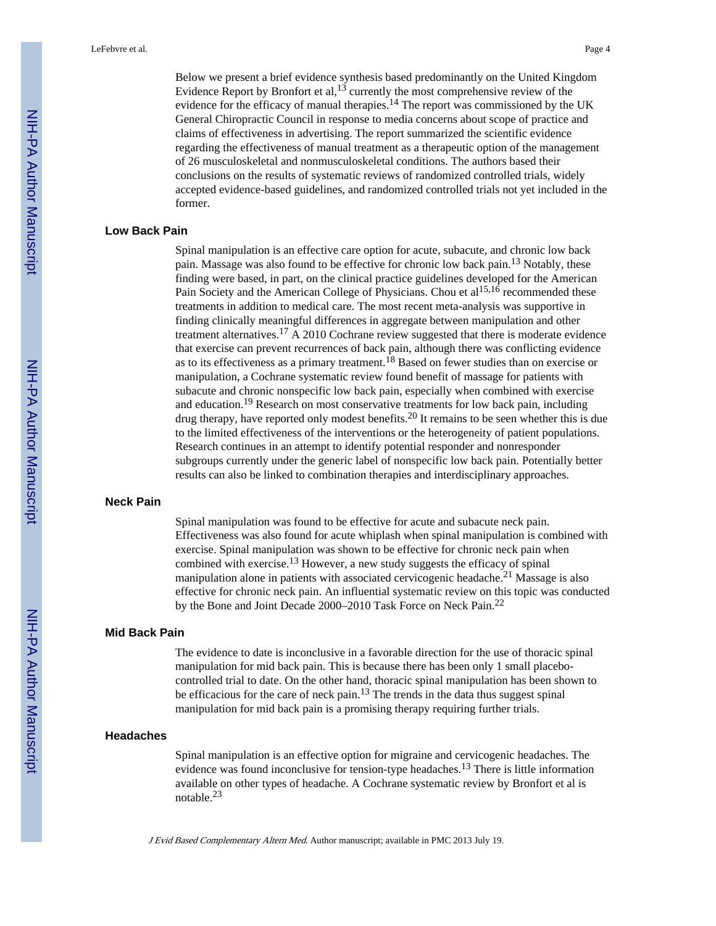Below we present a brief evidence synthesis based predominantly on the United Kingdom Evidence Report by Bronfort et al, $1<sup>3</sup>$  currently the most comprehensive review of the evidence for the efficacy of manual therapies.14 The report was commissioned by the UK General Chiropractic Council in response to media concerns about scope of practice and claims of effectiveness in advertising. The report summarized the scientific evidence regarding the effectiveness of manual treatment as a therapeutic option of the management of 26 musculoskeletal and nonmusculoskeletal conditions. The authors based their conclusions on the results of systematic reviews of randomized controlled trials, widely accepted evidence-based guidelines, and randomized controlled trials not yet included in the former.

## **Low Back Pain**

Spinal manipulation is an effective care option for acute, subacute, and chronic low back pain. Massage was also found to be effective for chronic low back pain.13 Notably, these finding were based, in part, on the clinical practice guidelines developed for the American Pain Society and the American College of Physicians. Chou et al<sup>15,16</sup> recommended these treatments in addition to medical care. The most recent meta-analysis was supportive in finding clinically meaningful differences in aggregate between manipulation and other treatment alternatives.<sup>17</sup> A 2010 Cochrane review suggested that there is moderate evidence that exercise can prevent recurrences of back pain, although there was conflicting evidence as to its effectiveness as a primary treatment.18 Based on fewer studies than on exercise or manipulation, a Cochrane systematic review found benefit of massage for patients with subacute and chronic nonspecific low back pain, especially when combined with exercise and education.19 Research on most conservative treatments for low back pain, including drug therapy, have reported only modest benefits.<sup>20</sup> It remains to be seen whether this is due to the limited effectiveness of the interventions or the heterogeneity of patient populations. Research continues in an attempt to identify potential responder and nonresponder subgroups currently under the generic label of nonspecific low back pain. Potentially better results can also be linked to combination therapies and interdisciplinary approaches.

## **Neck Pain**

Spinal manipulation was found to be effective for acute and subacute neck pain. Effectiveness was also found for acute whiplash when spinal manipulation is combined with exercise. Spinal manipulation was shown to be effective for chronic neck pain when combined with exercise.13 However, a new study suggests the efficacy of spinal manipulation alone in patients with associated cervicogenic headache.<sup>21</sup> Massage is also effective for chronic neck pain. An influential systematic review on this topic was conducted by the Bone and Joint Decade 2000–2010 Task Force on Neck Pain.<sup>22</sup>

#### **Mid Back Pain**

The evidence to date is inconclusive in a favorable direction for the use of thoracic spinal manipulation for mid back pain. This is because there has been only 1 small placebocontrolled trial to date. On the other hand, thoracic spinal manipulation has been shown to be efficacious for the care of neck pain. $13$  The trends in the data thus suggest spinal manipulation for mid back pain is a promising therapy requiring further trials.

#### **Headaches**

Spinal manipulation is an effective option for migraine and cervicogenic headaches. The evidence was found inconclusive for tension-type headaches.13 There is little information available on other types of headache. A Cochrane systematic review by Bronfort et al is notable.<sup>23</sup>

J Evid Based Complementary Altern Med. Author manuscript; available in PMC 2013 July 19.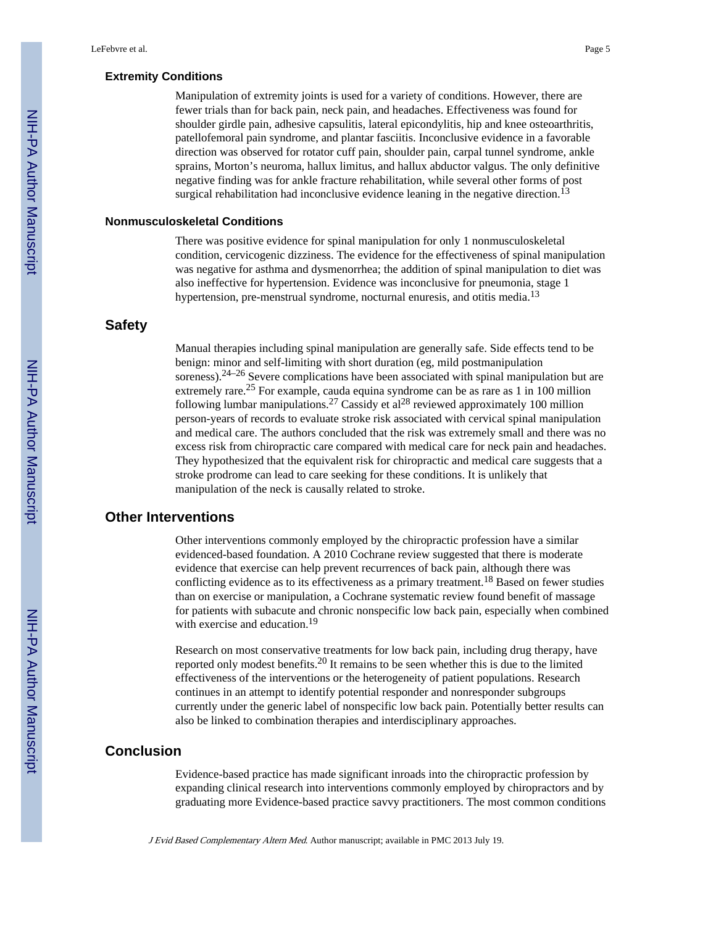#### **Extremity Conditions**

Manipulation of extremity joints is used for a variety of conditions. However, there are fewer trials than for back pain, neck pain, and headaches. Effectiveness was found for shoulder girdle pain, adhesive capsulitis, lateral epicondylitis, hip and knee osteoarthritis, patellofemoral pain syndrome, and plantar fasciitis. Inconclusive evidence in a favorable direction was observed for rotator cuff pain, shoulder pain, carpal tunnel syndrome, ankle sprains, Morton's neuroma, hallux limitus, and hallux abductor valgus. The only definitive negative finding was for ankle fracture rehabilitation, while several other forms of post surgical rehabilitation had inconclusive evidence leaning in the negative direction.<sup>13</sup>

#### **Nonmusculoskeletal Conditions**

There was positive evidence for spinal manipulation for only 1 nonmusculoskeletal condition, cervicogenic dizziness. The evidence for the effectiveness of spinal manipulation was negative for asthma and dysmenorrhea; the addition of spinal manipulation to diet was also ineffective for hypertension. Evidence was inconclusive for pneumonia, stage 1 hypertension, pre-menstrual syndrome, nocturnal enuresis, and otitis media.<sup>13</sup>

## **Safety**

Manual therapies including spinal manipulation are generally safe. Side effects tend to be benign: minor and self-limiting with short duration (eg, mild postmanipulation soreness).<sup>24–26</sup> Severe complications have been associated with spinal manipulation but are extremely rare.<sup>25</sup> For example, cauda equina syndrome can be as rare as 1 in 100 million following lumbar manipulations.<sup>27</sup> Cassidy et al<sup>28</sup> reviewed approximately 100 million person-years of records to evaluate stroke risk associated with cervical spinal manipulation and medical care. The authors concluded that the risk was extremely small and there was no excess risk from chiropractic care compared with medical care for neck pain and headaches. They hypothesized that the equivalent risk for chiropractic and medical care suggests that a stroke prodrome can lead to care seeking for these conditions. It is unlikely that manipulation of the neck is causally related to stroke.

## **Other Interventions**

Other interventions commonly employed by the chiropractic profession have a similar evidenced-based foundation. A 2010 Cochrane review suggested that there is moderate evidence that exercise can help prevent recurrences of back pain, although there was conflicting evidence as to its effectiveness as a primary treatment.<sup>18</sup> Based on fewer studies than on exercise or manipulation, a Cochrane systematic review found benefit of massage for patients with subacute and chronic nonspecific low back pain, especially when combined with exercise and education.<sup>19</sup>

Research on most conservative treatments for low back pain, including drug therapy, have reported only modest benefits.20 It remains to be seen whether this is due to the limited effectiveness of the interventions or the heterogeneity of patient populations. Research continues in an attempt to identify potential responder and nonresponder subgroups currently under the generic label of nonspecific low back pain. Potentially better results can also be linked to combination therapies and interdisciplinary approaches.

## **Conclusion**

Evidence-based practice has made significant inroads into the chiropractic profession by expanding clinical research into interventions commonly employed by chiropractors and by graduating more Evidence-based practice savvy practitioners. The most common conditions

J Evid Based Complementary Altern Med. Author manuscript; available in PMC 2013 July 19.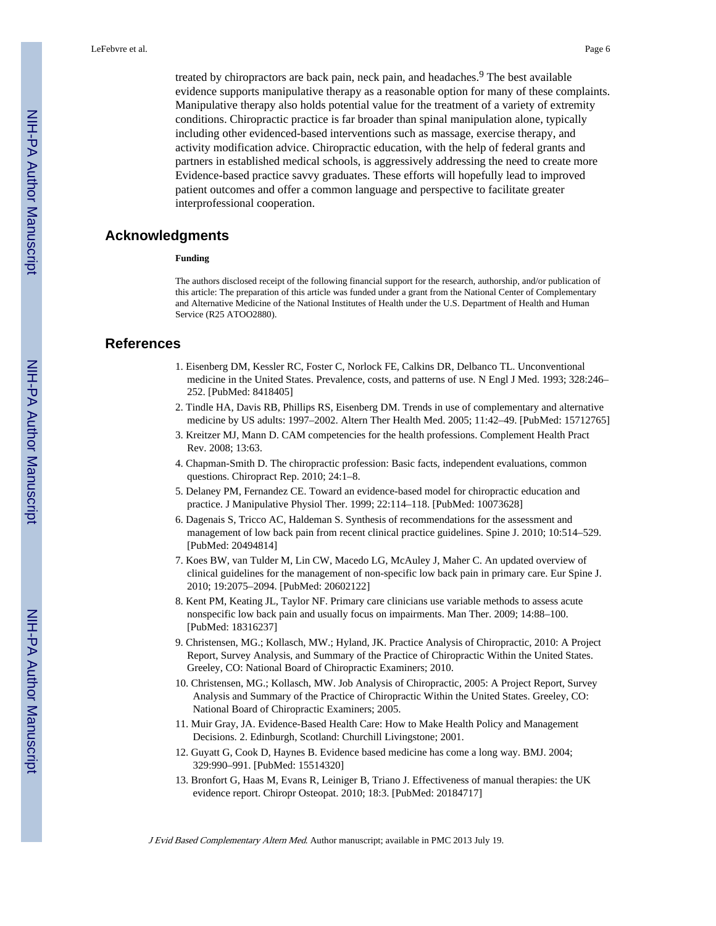treated by chiropractors are back pain, neck pain, and headaches.<sup>9</sup> The best available evidence supports manipulative therapy as a reasonable option for many of these complaints. Manipulative therapy also holds potential value for the treatment of a variety of extremity conditions. Chiropractic practice is far broader than spinal manipulation alone, typically including other evidenced-based interventions such as massage, exercise therapy, and activity modification advice. Chiropractic education, with the help of federal grants and partners in established medical schools, is aggressively addressing the need to create more Evidence-based practice savvy graduates. These efforts will hopefully lead to improved patient outcomes and offer a common language and perspective to facilitate greater interprofessional cooperation.

## **Acknowledgments**

#### **Funding**

The authors disclosed receipt of the following financial support for the research, authorship, and/or publication of this article: The preparation of this article was funded under a grant from the National Center of Complementary and Alternative Medicine of the National Institutes of Health under the U.S. Department of Health and Human Service (R25 ATOO2880).

## **References**

- 1. Eisenberg DM, Kessler RC, Foster C, Norlock FE, Calkins DR, Delbanco TL. Unconventional medicine in the United States. Prevalence, costs, and patterns of use. N Engl J Med. 1993; 328:246– 252. [PubMed: 8418405]
- 2. Tindle HA, Davis RB, Phillips RS, Eisenberg DM. Trends in use of complementary and alternative medicine by US adults: 1997–2002. Altern Ther Health Med. 2005; 11:42–49. [PubMed: 15712765]
- 3. Kreitzer MJ, Mann D. CAM competencies for the health professions. Complement Health Pract Rev. 2008; 13:63.
- 4. Chapman-Smith D. The chiropractic profession: Basic facts, independent evaluations, common questions. Chiropract Rep. 2010; 24:1–8.
- 5. Delaney PM, Fernandez CE. Toward an evidence-based model for chiropractic education and practice. J Manipulative Physiol Ther. 1999; 22:114–118. [PubMed: 10073628]
- 6. Dagenais S, Tricco AC, Haldeman S. Synthesis of recommendations for the assessment and management of low back pain from recent clinical practice guidelines. Spine J. 2010; 10:514–529. [PubMed: 20494814]
- 7. Koes BW, van Tulder M, Lin CW, Macedo LG, McAuley J, Maher C. An updated overview of clinical guidelines for the management of non-specific low back pain in primary care. Eur Spine J. 2010; 19:2075–2094. [PubMed: 20602122]
- 8. Kent PM, Keating JL, Taylor NF. Primary care clinicians use variable methods to assess acute nonspecific low back pain and usually focus on impairments. Man Ther. 2009; 14:88–100. [PubMed: 18316237]
- 9. Christensen, MG.; Kollasch, MW.; Hyland, JK. Practice Analysis of Chiropractic, 2010: A Project Report, Survey Analysis, and Summary of the Practice of Chiropractic Within the United States. Greeley, CO: National Board of Chiropractic Examiners; 2010.
- 10. Christensen, MG.; Kollasch, MW. Job Analysis of Chiropractic, 2005: A Project Report, Survey Analysis and Summary of the Practice of Chiropractic Within the United States. Greeley, CO: National Board of Chiropractic Examiners; 2005.
- 11. Muir Gray, JA. Evidence-Based Health Care: How to Make Health Policy and Management Decisions. 2. Edinburgh, Scotland: Churchill Livingstone; 2001.
- 12. Guyatt G, Cook D, Haynes B. Evidence based medicine has come a long way. BMJ. 2004; 329:990–991. [PubMed: 15514320]
- 13. Bronfort G, Haas M, Evans R, Leiniger B, Triano J. Effectiveness of manual therapies: the UK evidence report. Chiropr Osteopat. 2010; 18:3. [PubMed: 20184717]

J Evid Based Complementary Altern Med. Author manuscript; available in PMC 2013 July 19.